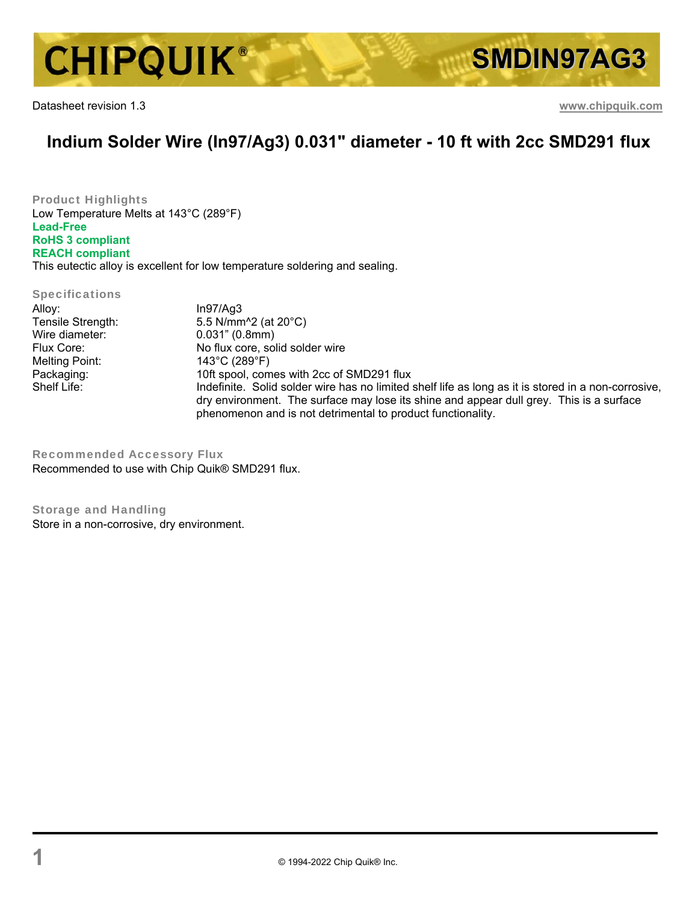

Datasheet revision 1.3 **www.chipquik.com**

## **Indium Solder Wire (In97/Ag3) 0.031" diameter - 10 ft with 2cc SMD291 flux**

Product Highlights Low Temperature Melts at 143°C (289°F) **Lead-Free RoHS 3 compliant REACH compliant**  This eutectic alloy is excellent for low temperature soldering and sealing.

| <b>Specifications</b> |                                                                                                     |  |  |  |  |  |
|-----------------------|-----------------------------------------------------------------------------------------------------|--|--|--|--|--|
| Alloy:                | In97/Ag3                                                                                            |  |  |  |  |  |
| Tensile Strength:     | 5.5 N/mm <sup><math>2</math></sup> (at $20^{\circ}$ C)                                              |  |  |  |  |  |
| Wire diameter:        | $0.031$ " (0.8mm)                                                                                   |  |  |  |  |  |
| Flux Core:            | No flux core, solid solder wire                                                                     |  |  |  |  |  |
| Melting Point:        | 143°C (289°F)                                                                                       |  |  |  |  |  |
| Packaging:            | 10ft spool, comes with 2cc of SMD291 flux                                                           |  |  |  |  |  |
| Shelf Life:           | Indefinite. Solid solder wire has no limited shelf life as long as it is stored in a non-corrosive, |  |  |  |  |  |
|                       | dry environment. The surface may lose its shine and appear dull grey. This is a surface             |  |  |  |  |  |
|                       | phenomenon and is not detrimental to product functionality.                                         |  |  |  |  |  |

Recommended Accessory Flux Recommended to use with Chip Quik® SMD291 flux.

Storage and Handling Store in a non-corrosive, dry environment.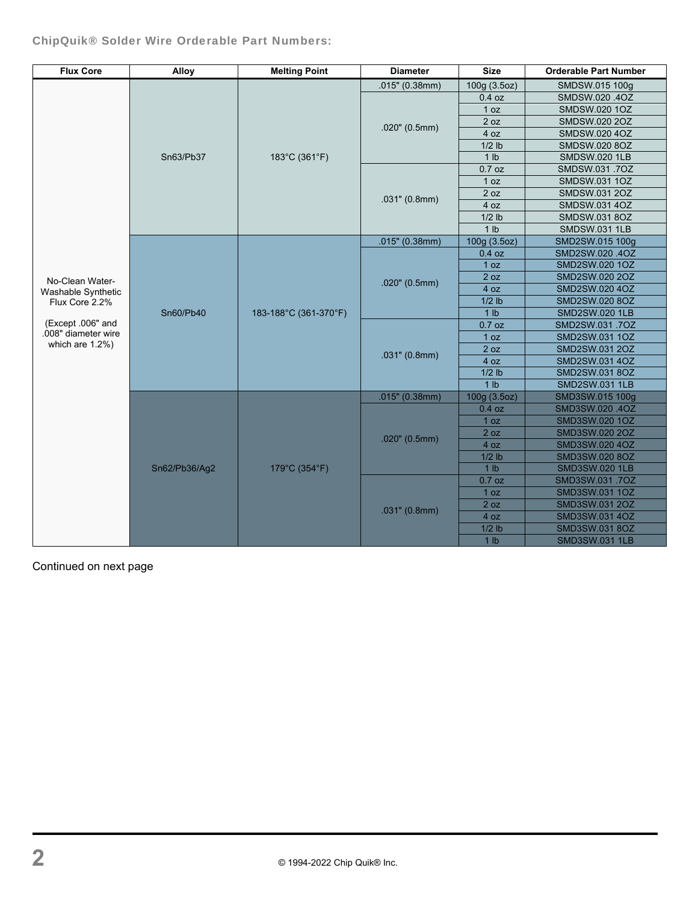ChipQuik® Solder Wire Orderable Part Numbers:

| <b>Flux Core</b>    | <b>Alloy</b>  | <b>Melting Point</b>  | <b>Diameter</b>   | <b>Size</b>     | <b>Orderable Part Number</b> |
|---------------------|---------------|-----------------------|-------------------|-----------------|------------------------------|
|                     |               |                       | $.015$ " (0.38mm) | 100g (3.5oz)    | SMDSW.015 100g               |
|                     |               |                       |                   | 0.4 oz          | SMDSW.020 .4OZ               |
|                     | Sn63/Pb37     | 183°C (361°F)         | $.020$ " (0.5mm)  | 1 oz            | SMDSW.020 1OZ                |
|                     |               |                       |                   | 2 oz            | SMDSW.020 2OZ                |
|                     |               |                       |                   | 4 oz            | SMDSW.020 4OZ                |
|                     |               |                       |                   | $1/2$ lb        | SMDSW.020 8OZ                |
|                     |               |                       |                   | 1 <sub>lb</sub> | <b>SMDSW.020 1LB</b>         |
|                     |               |                       | $.031$ " (0.8mm)  | $0.7$ oz        | SMDSW.031.7OZ                |
|                     |               |                       |                   | 1 oz            | SMDSW.031 1OZ                |
|                     |               |                       |                   | 2 oz            | SMDSW.031 2OZ                |
|                     |               |                       |                   | 4 oz            | SMDSW.031 4OZ                |
|                     |               |                       |                   | $1/2$ lb        | SMDSW.031 8OZ                |
|                     |               |                       |                   | 1 <sub>lb</sub> | <b>SMDSW.031 1LB</b>         |
|                     |               |                       | $.015$ " (0.38mm) | 100g (3.5oz)    | SMD2SW.015 100g              |
|                     |               |                       |                   | 0.4 oz          | SMD2SW.020.4OZ               |
|                     | Sn60/Pb40     |                       | $.020$ " (0.5mm)  | 1 oz            | SMD2SW.020 1OZ               |
| No-Clean Water-     |               |                       |                   | 2 oz            | SMD2SW.020 2OZ               |
| Washable Synthetic  |               | 183-188°C (361-370°F) |                   | 4 oz            | SMD2SW.020 4OZ               |
| Flux Core 2.2%      |               |                       |                   | $1/2$ lb        | SMD2SW.020 8OZ               |
|                     |               |                       |                   | 1 <sub>lb</sub> | <b>SMD2SW.020 1LB</b>        |
| (Except .006" and   |               |                       |                   | $0.7$ oz        | SMD2SW.031.7OZ               |
| .008" diameter wire |               |                       | .031" (0.8mm)     | 1 oz            | SMD2SW.031 1OZ               |
| which are 1.2%)     |               |                       |                   | 2 oz            | SMD2SW.031 2OZ               |
|                     |               |                       |                   | 4 oz            | SMD2SW.031 4OZ               |
|                     |               |                       |                   | $1/2$ lb        | SMD2SW.031 8OZ               |
|                     |               |                       |                   | 1 lb            | <b>SMD2SW.031 1LB</b>        |
|                     | Sn62/Pb36/Ag2 | 179°C (354°F)         | .015" (0.38mm)    | 100g (3.5oz)    | SMD3SW.015 100g              |
|                     |               |                       | $.020$ " (0.5mm)  | $0.4$ oz        | SMD3SW.020.4OZ               |
|                     |               |                       |                   | 1 oz            | SMD3SW.020 1OZ               |
|                     |               |                       |                   | 2 oz            | SMD3SW.020 2OZ               |
|                     |               |                       |                   | 4 oz            | SMD3SW.020 4OZ               |
|                     |               |                       |                   | $1/2$ lb        | SMD3SW.020 8OZ               |
|                     |               |                       |                   | 1 <sub>lb</sub> | <b>SMD3SW.020 1LB</b>        |
|                     |               |                       | $.031$ " (0.8mm)  | $0.7$ oz        | SMD3SW.031.7OZ               |
|                     |               |                       |                   | 1 oz            | SMD3SW.031 1OZ               |
|                     |               |                       |                   | 2 oz            | SMD3SW.031 2OZ               |
|                     |               |                       |                   | 4 oz            | SMD3SW.031 4OZ               |
|                     |               |                       |                   | $1/2$ lb        | SMD3SW.031 8OZ               |
|                     |               |                       |                   | 1 <sub>lb</sub> | SMD3SW.031 1LB               |

Continued on next page